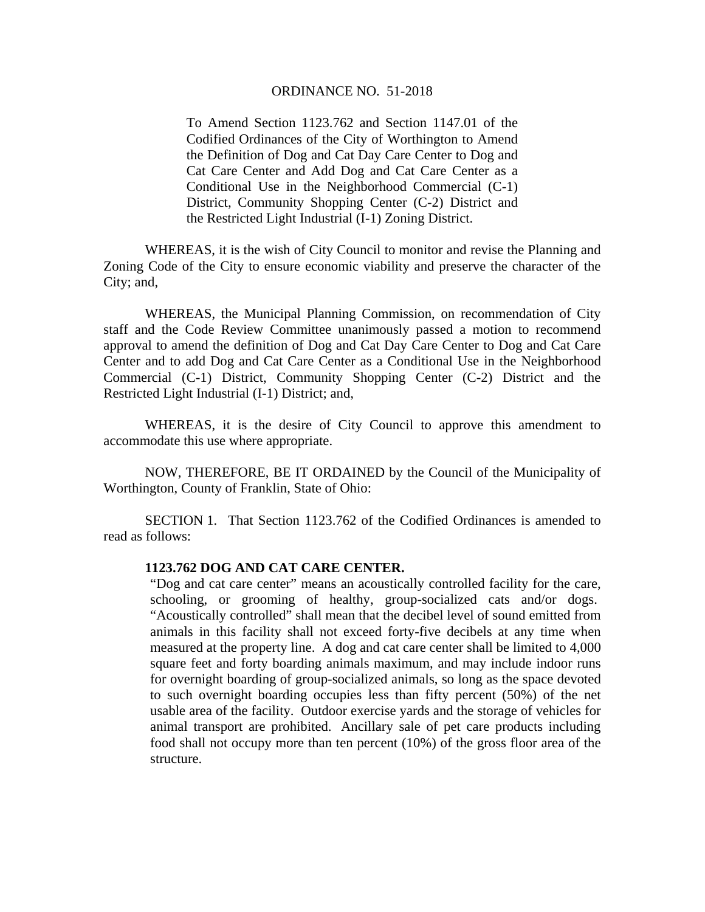## ORDINANCE NO. 51-2018

To Amend Section 1123.762 and Section 1147.01 of the Codified Ordinances of the City of Worthington to Amend the Definition of Dog and Cat Day Care Center to Dog and Cat Care Center and Add Dog and Cat Care Center as a Conditional Use in the Neighborhood Commercial (C-1) District, Community Shopping Center (C-2) District and the Restricted Light Industrial (I-1) Zoning District.

WHEREAS, it is the wish of City Council to monitor and revise the Planning and Zoning Code of the City to ensure economic viability and preserve the character of the City; and,

WHEREAS, the Municipal Planning Commission, on recommendation of City staff and the Code Review Committee unanimously passed a motion to recommend approval to amend the definition of Dog and Cat Day Care Center to Dog and Cat Care Center and to add Dog and Cat Care Center as a Conditional Use in the Neighborhood Commercial (C-1) District, Community Shopping Center (C-2) District and the Restricted Light Industrial (I-1) District; and,

WHEREAS, it is the desire of City Council to approve this amendment to accommodate this use where appropriate.

 NOW, THEREFORE, BE IT ORDAINED by the Council of the Municipality of Worthington, County of Franklin, State of Ohio:

 SECTION 1. That Section 1123.762 of the Codified Ordinances is amended to read as follows:

## **1123.762 DOG AND CAT CARE CENTER.**

"Dog and cat care center" means an acoustically controlled facility for the care, schooling, or grooming of healthy, group-socialized cats and/or dogs. "Acoustically controlled" shall mean that the decibel level of sound emitted from animals in this facility shall not exceed forty-five decibels at any time when measured at the property line. A dog and cat care center shall be limited to 4,000 square feet and forty boarding animals maximum, and may include indoor runs for overnight boarding of group-socialized animals, so long as the space devoted to such overnight boarding occupies less than fifty percent (50%) of the net usable area of the facility.Outdoor exercise yards and the storage of vehicles for animal transport are prohibited. Ancillary sale of pet care products including food shall not occupy more than ten percent (10%) of the gross floor area of the structure.